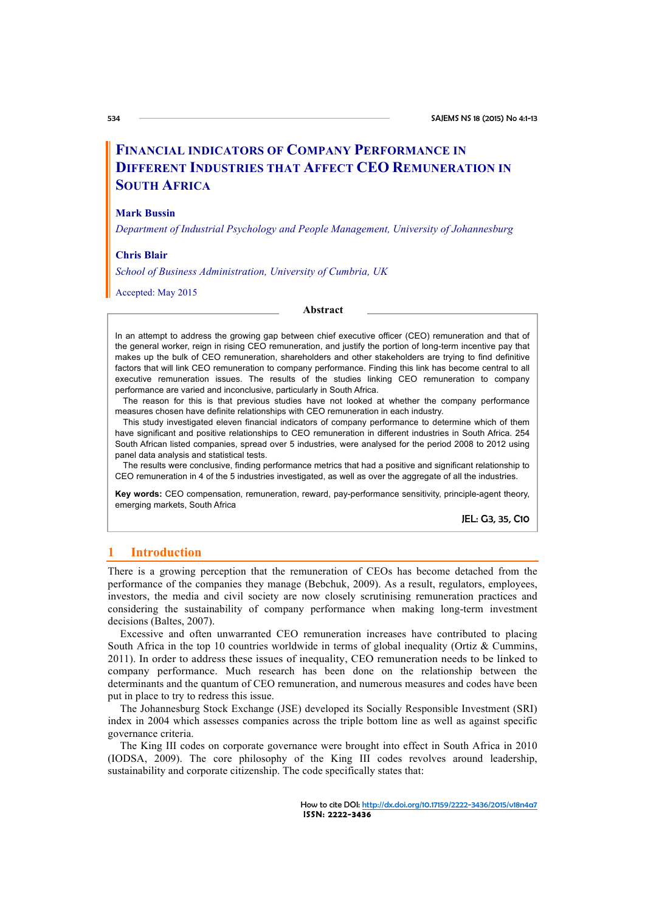# **FINANCIAL INDICATORS OF COMPANY PERFORMANCE IN DIFFERENT INDUSTRIES THAT AFFECT CEO REMUNERATION IN SOUTH AFRICA**

### **Mark Bussin**

*Department of Industrial Psychology and People Management, University of Johannesburg*

## **Chris Blair**

*School of Business Administration, University of Cumbria, UK*

Accepted: May 2015

**Abstract**

In an attempt to address the growing gap between chief executive officer (CEO) remuneration and that of the general worker, reign in rising CEO remuneration, and justify the portion of long-term incentive pay that makes up the bulk of CEO remuneration, shareholders and other stakeholders are trying to find definitive factors that will link CEO remuneration to company performance. Finding this link has become central to all executive remuneration issues. The results of the studies linking CEO remuneration to company performance are varied and inconclusive, particularly in South Africa.

The reason for this is that previous studies have not looked at whether the company performance measures chosen have definite relationships with CEO remuneration in each industry.

This study investigated eleven financial indicators of company performance to determine which of them have significant and positive relationships to CEO remuneration in different industries in South Africa. 254 South African listed companies, spread over 5 industries, were analysed for the period 2008 to 2012 using panel data analysis and statistical tests.

The results were conclusive, finding performance metrics that had a positive and significant relationship to CEO remuneration in 4 of the 5 industries investigated, as well as over the aggregate of all the industries.

**Key words:** CEO compensation, remuneration, reward, pay-performance sensitivity, principle-agent theory, emerging markets, South Africa

JEL: G3, 35, C10

# **1 Introduction**

There is a growing perception that the remuneration of CEOs has become detached from the performance of the companies they manage (Bebchuk, 2009). As a result, regulators, employees, investors, the media and civil society are now closely scrutinising remuneration practices and considering the sustainability of company performance when making long-term investment decisions (Baltes, 2007).

Excessive and often unwarranted CEO remuneration increases have contributed to placing South Africa in the top 10 countries worldwide in terms of global inequality (Ortiz  $\&$  Cummins, 2011). In order to address these issues of inequality, CEO remuneration needs to be linked to company performance. Much research has been done on the relationship between the determinants and the quantum of CEO remuneration, and numerous measures and codes have been put in place to try to redress this issue.

The Johannesburg Stock Exchange (JSE) developed its Socially Responsible Investment (SRI) index in 2004 which assesses companies across the triple bottom line as well as against specific governance criteria.

The King III codes on corporate governance were brought into effect in South Africa in 2010 (IODSA, 2009). The core philosophy of the King III codes revolves around leadership, sustainability and corporate citizenship. The code specifically states that: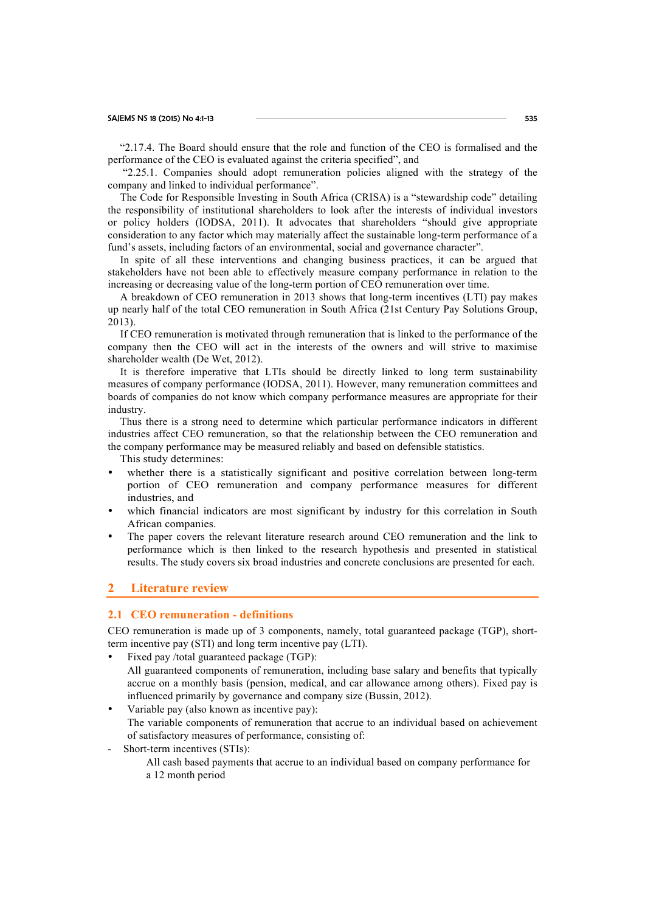#### SAJEMS NS 18 (2015) No 4:1-13 **Fig. 1. The Second Contract of the Second Contract of the Second Contract of the S**

"2.17.4. The Board should ensure that the role and function of the CEO is formalised and the performance of the CEO is evaluated against the criteria specified", and

"2.25.1. Companies should adopt remuneration policies aligned with the strategy of the company and linked to individual performance".

The Code for Responsible Investing in South Africa (CRISA) is a "stewardship code" detailing the responsibility of institutional shareholders to look after the interests of individual investors or policy holders (IODSA, 2011). It advocates that shareholders "should give appropriate consideration to any factor which may materially affect the sustainable long-term performance of a fund's assets, including factors of an environmental, social and governance character".

In spite of all these interventions and changing business practices, it can be argued that stakeholders have not been able to effectively measure company performance in relation to the increasing or decreasing value of the long-term portion of CEO remuneration over time.

A breakdown of CEO remuneration in 2013 shows that long-term incentives (LTI) pay makes up nearly half of the total CEO remuneration in South Africa (21st Century Pay Solutions Group, 2013).

If CEO remuneration is motivated through remuneration that is linked to the performance of the company then the CEO will act in the interests of the owners and will strive to maximise shareholder wealth (De Wet, 2012).

It is therefore imperative that LTIs should be directly linked to long term sustainability measures of company performance (IODSA, 2011). However, many remuneration committees and boards of companies do not know which company performance measures are appropriate for their industry.

Thus there is a strong need to determine which particular performance indicators in different industries affect CEO remuneration, so that the relationship between the CEO remuneration and the company performance may be measured reliably and based on defensible statistics.

This study determines:

- whether there is a statistically significant and positive correlation between long-term portion of CEO remuneration and company performance measures for different industries, and
- which financial indicators are most significant by industry for this correlation in South African companies.
- The paper covers the relevant literature research around CEO remuneration and the link to performance which is then linked to the research hypothesis and presented in statistical results. The study covers six broad industries and concrete conclusions are presented for each.

# **2 Literature review**

### **2.1 CEO remuneration - definitions**

CEO remuneration is made up of 3 components, namely, total guaranteed package (TGP), shortterm incentive pay (STI) and long term incentive pay (LTI).

- Fixed pay /total guaranteed package (TGP): All guaranteed components of remuneration, including base salary and benefits that typically accrue on a monthly basis (pension, medical, and car allowance among others). Fixed pay is influenced primarily by governance and company size (Bussin, 2012).
- Variable pay (also known as incentive pay): The variable components of remuneration that accrue to an individual based on achievement of satisfactory measures of performance, consisting of:
- Short-term incentives (STIs):

All cash based payments that accrue to an individual based on company performance for a 12 month period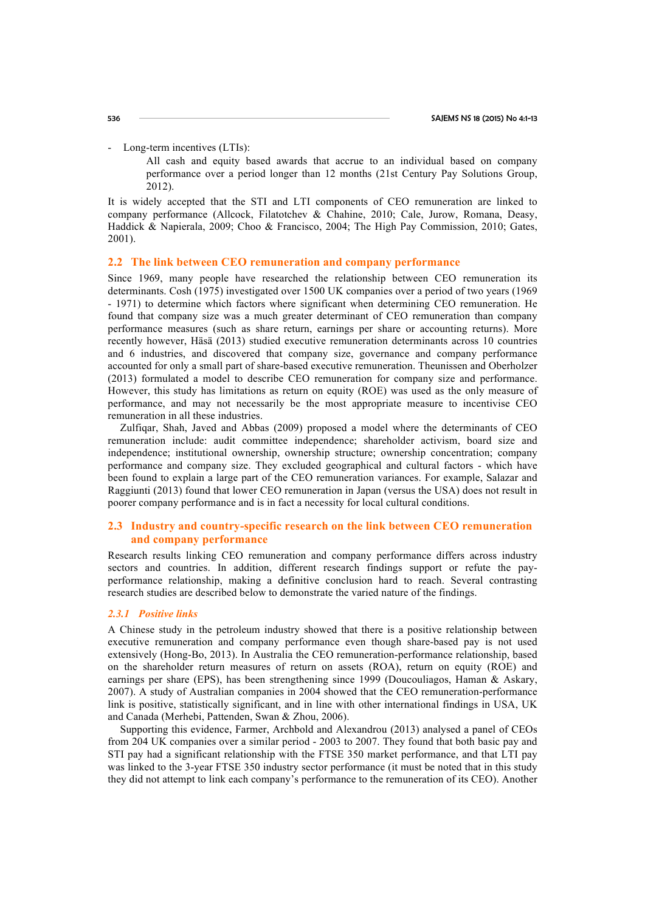- Long-term incentives (LTIs):

All cash and equity based awards that accrue to an individual based on company performance over a period longer than 12 months (21st Century Pay Solutions Group, 2012).

It is widely accepted that the STI and LTI components of CEO remuneration are linked to company performance (Allcock, Filatotchev & Chahine, 2010; Cale, Jurow, Romana, Deasy, Haddick & Napierala, 2009; Choo & Francisco, 2004; The High Pay Commission, 2010; Gates, 2001).

# **2.2 The link between CEO remuneration and company performance**

Since 1969, many people have researched the relationship between CEO remuneration its determinants. Cosh (1975) investigated over 1500 UK companies over a period of two years (1969 - 1971) to determine which factors where significant when determining CEO remuneration. He found that company size was a much greater determinant of CEO remuneration than company performance measures (such as share return, earnings per share or accounting returns). More recently however, Häsä (2013) studied executive remuneration determinants across 10 countries and 6 industries, and discovered that company size, governance and company performance accounted for only a small part of share-based executive remuneration. Theunissen and Oberholzer (2013) formulated a model to describe CEO remuneration for company size and performance. However, this study has limitations as return on equity (ROE) was used as the only measure of performance, and may not necessarily be the most appropriate measure to incentivise CEO remuneration in all these industries.

Zulfiqar, Shah, Javed and Abbas (2009) proposed a model where the determinants of CEO remuneration include: audit committee independence; shareholder activism, board size and independence; institutional ownership, ownership structure; ownership concentration; company performance and company size. They excluded geographical and cultural factors - which have been found to explain a large part of the CEO remuneration variances. For example, Salazar and Raggiunti (2013) found that lower CEO remuneration in Japan (versus the USA) does not result in poorer company performance and is in fact a necessity for local cultural conditions.

# **2.3 Industry and country-specific research on the link between CEO remuneration and company performance**

Research results linking CEO remuneration and company performance differs across industry sectors and countries. In addition, different research findings support or refute the payperformance relationship, making a definitive conclusion hard to reach. Several contrasting research studies are described below to demonstrate the varied nature of the findings.

## *2.3.1 Positive links*

A Chinese study in the petroleum industry showed that there is a positive relationship between executive remuneration and company performance even though share-based pay is not used extensively (Hong-Bo, 2013). In Australia the CEO remuneration-performance relationship, based on the shareholder return measures of return on assets (ROA), return on equity (ROE) and earnings per share (EPS), has been strengthening since 1999 (Doucouliagos, Haman & Askary, 2007). A study of Australian companies in 2004 showed that the CEO remuneration-performance link is positive, statistically significant, and in line with other international findings in USA, UK and Canada (Merhebi, Pattenden, Swan & Zhou, 2006).

Supporting this evidence, Farmer, Archbold and Alexandrou (2013) analysed a panel of CEOs from 204 UK companies over a similar period - 2003 to 2007. They found that both basic pay and STI pay had a significant relationship with the FTSE 350 market performance, and that LTI pay was linked to the 3-year FTSE 350 industry sector performance (it must be noted that in this study they did not attempt to link each company's performance to the remuneration of its CEO). Another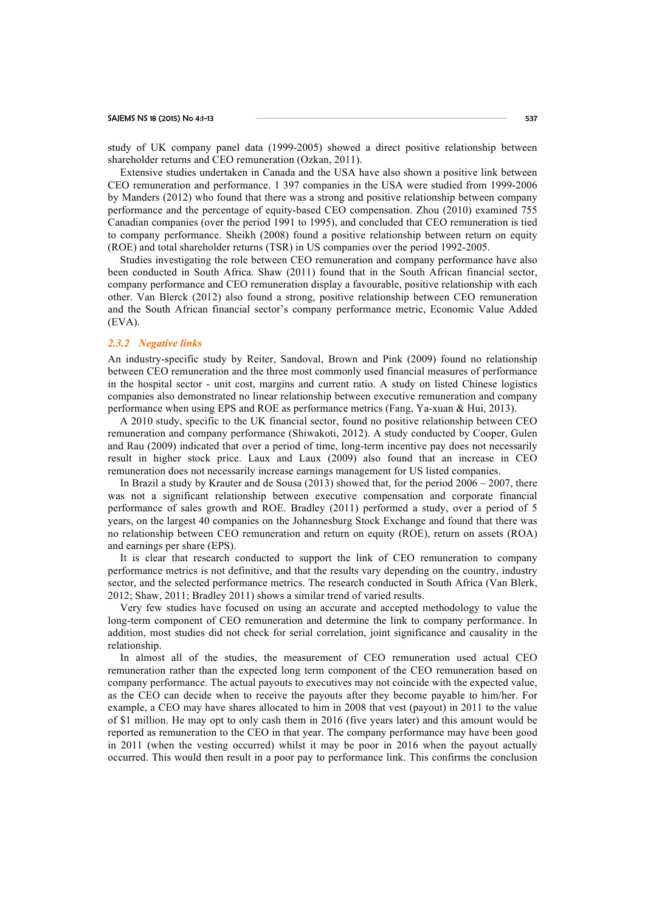#### SAJEMS NS 18 (2015) No 4:1-13 **527 12:20 12:20 12:20 12:20 12:20 12:37 537**

study of UK company panel data (1999-2005) showed a direct positive relationship between shareholder returns and CEO remuneration (Ozkan, 2011).

Extensive studies undertaken in Canada and the USA have also shown a positive link between CEO remuneration and performance. 1 397 companies in the USA were studied from 1999-2006 by Manders (2012) who found that there was a strong and positive relationship between company performance and the percentage of equity-based CEO compensation. Zhou (2010) examined 755 Canadian companies (over the period 1991 to 1995), and concluded that CEO remuneration is tied to company performance. Sheikh (2008) found a positive relationship between return on equity (ROE) and total shareholder returns (TSR) in US companies over the period 1992-2005.

Studies investigating the role between CEO remuneration and company performance have also been conducted in South Africa. Shaw (2011) found that in the South African financial sector, company performance and CEO remuneration display a favourable, positive relationship with each other. Van Blerck (2012) also found a strong, positive relationship between CEO remuneration and the South African financial sector's company performance metric, Economic Value Added (EVA).

### *2.3.2 Negative links*

An industry-specific study by Reiter, Sandoval, Brown and Pink (2009) found no relationship between CEO remuneration and the three most commonly used financial measures of performance in the hospital sector - unit cost, margins and current ratio. A study on listed Chinese logistics companies also demonstrated no linear relationship between executive remuneration and company performance when using EPS and ROE as performance metrics (Fang, Ya-xuan & Hui, 2013).

A 2010 study, specific to the UK financial sector, found no positive relationship between CEO remuneration and company performance (Shiwakoti, 2012). A study conducted by Cooper, Gulen and Rau (2009) indicated that over a period of time, long-term incentive pay does not necessarily result in higher stock price. Laux and Laux (2009) also found that an increase in CEO remuneration does not necessarily increase earnings management for US listed companies.

In Brazil a study by Krauter and de Sousa (2013) showed that, for the period 2006 – 2007, there was not a significant relationship between executive compensation and corporate financial performance of sales growth and ROE. Bradley (2011) performed a study, over a period of 5 years, on the largest 40 companies on the Johannesburg Stock Exchange and found that there was no relationship between CEO remuneration and return on equity (ROE), return on assets (ROA) and earnings per share (EPS).

It is clear that research conducted to support the link of CEO remuneration to company performance metrics is not definitive, and that the results vary depending on the country, industry sector, and the selected performance metrics. The research conducted in South Africa (Van Blerk, 2012; Shaw, 2011; Bradley 2011) shows a similar trend of varied results.

Very few studies have focused on using an accurate and accepted methodology to value the long-term component of CEO remuneration and determine the link to company performance. In addition, most studies did not check for serial correlation, joint significance and causality in the relationship.

In almost all of the studies, the measurement of CEO remuneration used actual CEO remuneration rather than the expected long term component of the CEO remuneration based on company performance. The actual payouts to executives may not coincide with the expected value, as the CEO can decide when to receive the payouts after they become payable to him/her. For example, a CEO may have shares allocated to him in 2008 that vest (payout) in 2011 to the value of \$1 million. He may opt to only cash them in 2016 (five years later) and this amount would be reported as remuneration to the CEO in that year. The company performance may have been good in 2011 (when the vesting occurred) whilst it may be poor in 2016 when the payout actually occurred. This would then result in a poor pay to performance link. This confirms the conclusion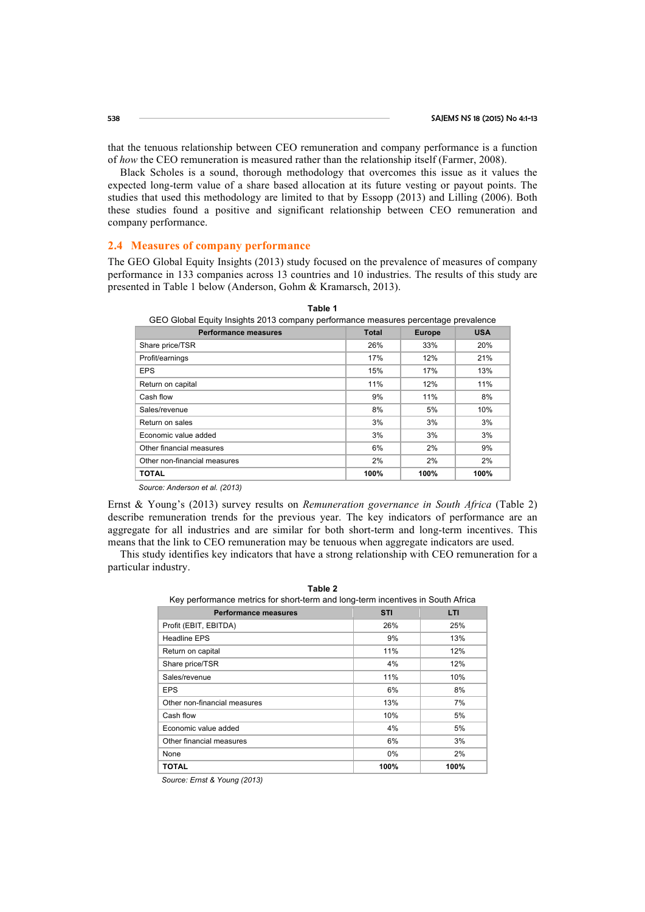that the tenuous relationship between CEO remuneration and company performance is a function of *how* the CEO remuneration is measured rather than the relationship itself (Farmer, 2008).

Black Scholes is a sound, thorough methodology that overcomes this issue as it values the expected long-term value of a share based allocation at its future vesting or payout points. The studies that used this methodology are limited to that by Essopp (2013) and Lilling (2006). Both these studies found a positive and significant relationship between CEO remuneration and company performance.

# **2.4 Measures of company performance**

The GEO Global Equity Insights (2013) study focused on the prevalence of measures of company performance in 133 companies across 13 countries and 10 industries. The results of this study are presented in Table 1 below (Anderson, Gohm & Kramarsch, 2013).

| GEO Giobal Equity Insights 2013 company performance measures percentage prevalence |              |               |            |  |  |
|------------------------------------------------------------------------------------|--------------|---------------|------------|--|--|
| Performance measures                                                               | <b>Total</b> | <b>Europe</b> | <b>USA</b> |  |  |
| Share price/TSR                                                                    | 26%          | 33%           | 20%        |  |  |
| Profit/earnings                                                                    | 17%          | 12%           | 21%        |  |  |
| <b>EPS</b>                                                                         | 15%          | 17%           | 13%        |  |  |
| Return on capital                                                                  | 11%          | 12%           | 11%        |  |  |
| Cash flow                                                                          | 9%           | 11%           | 8%         |  |  |
| Sales/revenue                                                                      | 8%           | 5%            | 10%        |  |  |
| Return on sales                                                                    | 3%           | 3%            | 3%         |  |  |
| Economic value added                                                               | 3%           | 3%            | 3%         |  |  |
| Other financial measures                                                           | 6%           | 2%            | 9%         |  |  |
| Other non-financial measures                                                       | 2%           | 2%            | 2%         |  |  |
| TOTAL                                                                              | 100%         | 100%          | 100%       |  |  |

**Table 1** GEO Global Equity Insights 2013 company performance measures percentage prevalence

*Source: Anderson et al. (2013)*

Ernst & Young's (2013) survey results on *Remuneration governance in South Africa* (Table 2) describe remuneration trends for the previous year. The key indicators of performance are an aggregate for all industries and are similar for both short-term and long-term incentives. This means that the link to CEO remuneration may be tenuous when aggregate indicators are used.

This study identifies key indicators that have a strong relationship with CEO remuneration for a particular industry.

| 10<br>ı<br>.,<br>۰. |  |
|---------------------|--|
|---------------------|--|

Key performance metrics for short-term and long-term incentives in South Africa

| <b>Performance measures</b>  | <b>STI</b> | LTI  |
|------------------------------|------------|------|
| Profit (EBIT, EBITDA)        | 26%        | 25%  |
| Headline EPS                 | 9%         | 13%  |
| Return on capital            | 11%        | 12%  |
| Share price/TSR              | 4%         | 12%  |
| Sales/revenue                | 11%        | 10%  |
| <b>EPS</b>                   | 6%         | 8%   |
| Other non-financial measures | 13%        | 7%   |
| Cash flow                    | 10%        | 5%   |
| Economic value added         | 4%         | 5%   |
| Other financial measures     | 6%         | 3%   |
| None                         | 0%         | 2%   |
| <b>TOTAL</b>                 | 100%       | 100% |

*Source: Ernst & Young (2013)*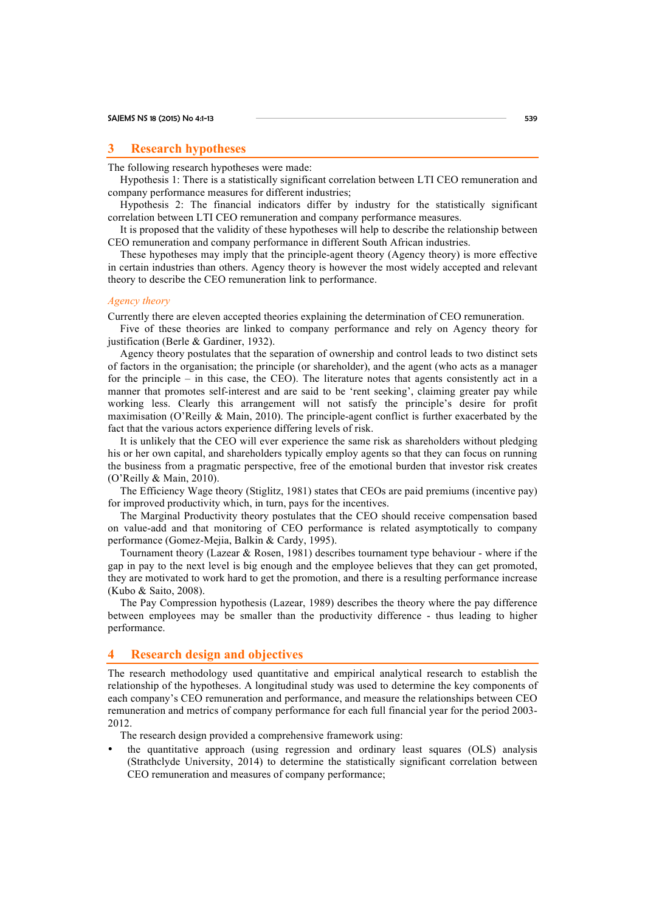# **3 Research hypotheses**

The following research hypotheses were made:

Hypothesis 1: There is a statistically significant correlation between LTI CEO remuneration and company performance measures for different industries;

Hypothesis 2: The financial indicators differ by industry for the statistically significant correlation between LTI CEO remuneration and company performance measures.

It is proposed that the validity of these hypotheses will help to describe the relationship between CEO remuneration and company performance in different South African industries.

These hypotheses may imply that the principle-agent theory (Agency theory) is more effective in certain industries than others. Agency theory is however the most widely accepted and relevant theory to describe the CEO remuneration link to performance.

# *Agency theory*

Currently there are eleven accepted theories explaining the determination of CEO remuneration.

Five of these theories are linked to company performance and rely on Agency theory for justification (Berle & Gardiner, 1932).

Agency theory postulates that the separation of ownership and control leads to two distinct sets of factors in the organisation; the principle (or shareholder), and the agent (who acts as a manager for the principle – in this case, the CEO). The literature notes that agents consistently act in a manner that promotes self-interest and are said to be 'rent seeking', claiming greater pay while working less. Clearly this arrangement will not satisfy the principle's desire for profit maximisation (O'Reilly & Main, 2010). The principle-agent conflict is further exacerbated by the fact that the various actors experience differing levels of risk.

It is unlikely that the CEO will ever experience the same risk as shareholders without pledging his or her own capital, and shareholders typically employ agents so that they can focus on running the business from a pragmatic perspective, free of the emotional burden that investor risk creates (O'Reilly & Main, 2010).

The Efficiency Wage theory (Stiglitz, 1981) states that CEOs are paid premiums (incentive pay) for improved productivity which, in turn, pays for the incentives.

The Marginal Productivity theory postulates that the CEO should receive compensation based on value-add and that monitoring of CEO performance is related asymptotically to company performance (Gomez-Mejia, Balkin & Cardy, 1995).

Tournament theory (Lazear & Rosen, 1981) describes tournament type behaviour - where if the gap in pay to the next level is big enough and the employee believes that they can get promoted, they are motivated to work hard to get the promotion, and there is a resulting performance increase (Kubo & Saito, 2008).

The Pay Compression hypothesis (Lazear, 1989) describes the theory where the pay difference between employees may be smaller than the productivity difference - thus leading to higher performance.

# **4 Research design and objectives**

The research methodology used quantitative and empirical analytical research to establish the relationship of the hypotheses. A longitudinal study was used to determine the key components of each company's CEO remuneration and performance, and measure the relationships between CEO remuneration and metrics of company performance for each full financial year for the period 2003- 2012.

The research design provided a comprehensive framework using:

• the quantitative approach (using regression and ordinary least squares (OLS) analysis (Strathclyde University, 2014) to determine the statistically significant correlation between CEO remuneration and measures of company performance;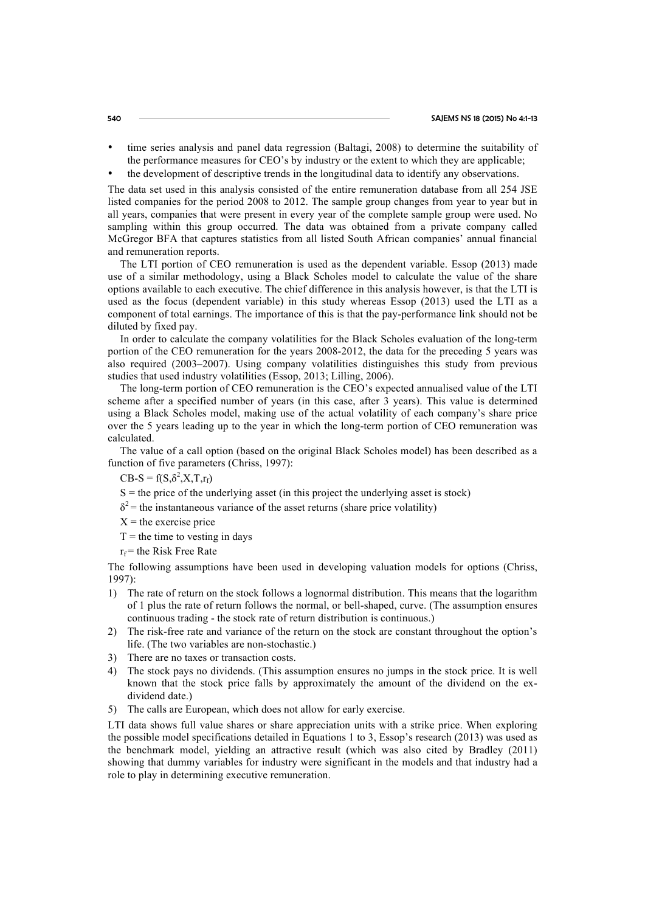- time series analysis and panel data regression (Baltagi, 2008) to determine the suitability of the performance measures for CEO's by industry or the extent to which they are applicable;
- the development of descriptive trends in the longitudinal data to identify any observations.

The data set used in this analysis consisted of the entire remuneration database from all 254 JSE listed companies for the period 2008 to 2012. The sample group changes from year to year but in all years, companies that were present in every year of the complete sample group were used. No sampling within this group occurred. The data was obtained from a private company called McGregor BFA that captures statistics from all listed South African companies' annual financial and remuneration reports.

The LTI portion of CEO remuneration is used as the dependent variable. Essop (2013) made use of a similar methodology, using a Black Scholes model to calculate the value of the share options available to each executive. The chief difference in this analysis however, is that the LTI is used as the focus (dependent variable) in this study whereas Essop (2013) used the LTI as a component of total earnings. The importance of this is that the pay-performance link should not be diluted by fixed pay.

In order to calculate the company volatilities for the Black Scholes evaluation of the long-term portion of the CEO remuneration for the years 2008-2012, the data for the preceding 5 years was also required (2003–2007). Using company volatilities distinguishes this study from previous studies that used industry volatilities (Essop, 2013; Lilling, 2006).

The long-term portion of CEO remuneration is the CEO's expected annualised value of the LTI scheme after a specified number of years (in this case, after 3 years). This value is determined using a Black Scholes model, making use of the actual volatility of each company's share price over the 5 years leading up to the year in which the long-term portion of CEO remuneration was calculated.

The value of a call option (based on the original Black Scholes model) has been described as a function of five parameters (Chriss, 1997):

 $CB-S = f(S, \delta^2, X, T, r_f)$ 

- $S =$  the price of the underlying asset (in this project the underlying asset is stock)
- $\delta^2$  = the instantaneous variance of the asset returns (share price volatility)
- $X =$  the exercise price
- $T =$  the time to vesting in days
- $r_f$  = the Risk Free Rate

The following assumptions have been used in developing valuation models for options (Chriss, 1997):

- 1) The rate of return on the stock follows a lognormal distribution. This means that the logarithm of 1 plus the rate of return follows the normal, or bell-shaped, curve. (The assumption ensures continuous trading - the stock rate of return distribution is continuous.)
- 2) The risk-free rate and variance of the return on the stock are constant throughout the option's life. (The two variables are non-stochastic.)
- 3) There are no taxes or transaction costs.
- 4) The stock pays no dividends. (This assumption ensures no jumps in the stock price. It is well known that the stock price falls by approximately the amount of the dividend on the exdividend date.)
- 5) The calls are European, which does not allow for early exercise.

LTI data shows full value shares or share appreciation units with a strike price. When exploring the possible model specifications detailed in Equations 1 to 3, Essop's research (2013) was used as the benchmark model, yielding an attractive result (which was also cited by Bradley (2011) showing that dummy variables for industry were significant in the models and that industry had a role to play in determining executive remuneration.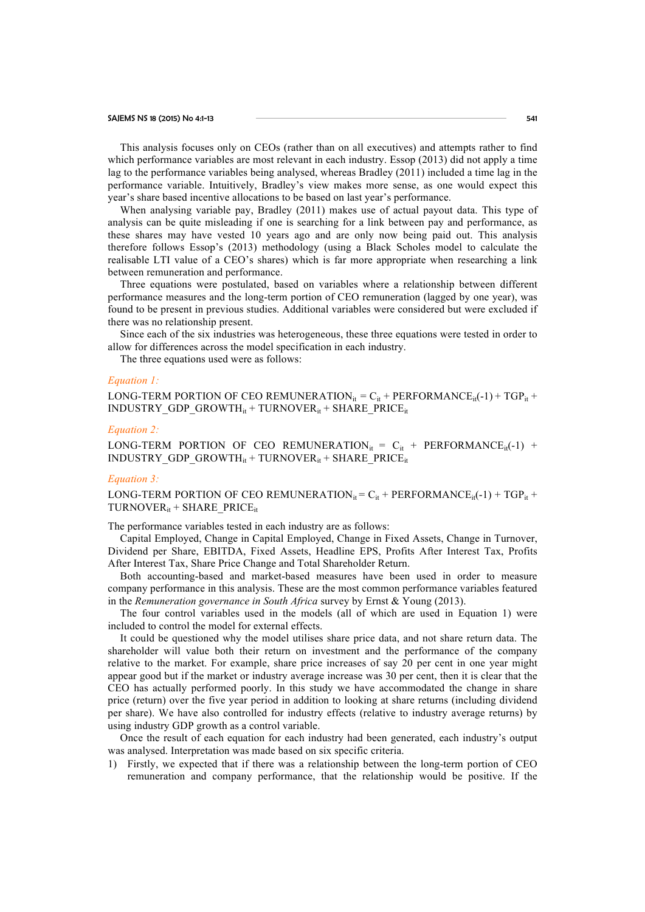#### SAJEMS NS 18 (2015) No 4:1-13 **541 12.2 541 541 541**

This analysis focuses only on CEOs (rather than on all executives) and attempts rather to find which performance variables are most relevant in each industry. Essop (2013) did not apply a time lag to the performance variables being analysed, whereas Bradley (2011) included a time lag in the performance variable. Intuitively, Bradley's view makes more sense, as one would expect this year's share based incentive allocations to be based on last year's performance.

When analysing variable pay, Bradley (2011) makes use of actual payout data. This type of analysis can be quite misleading if one is searching for a link between pay and performance, as these shares may have vested 10 years ago and are only now being paid out. This analysis therefore follows Essop's (2013) methodology (using a Black Scholes model to calculate the realisable LTI value of a CEO's shares) which is far more appropriate when researching a link between remuneration and performance.

Three equations were postulated, based on variables where a relationship between different performance measures and the long-term portion of CEO remuneration (lagged by one year), was found to be present in previous studies. Additional variables were considered but were excluded if there was no relationship present.

Since each of the six industries was heterogeneous, these three equations were tested in order to allow for differences across the model specification in each industry.

The three equations used were as follows:

#### *Equation 1:*

LONG-TERM PORTION OF CEO REMUNERATION<sub>it</sub> =  $C_{it}$  + PERFORMANCE<sub>it</sub>(-1) + TGP<sub>it</sub> + INDUSTRY\_GDP\_GROWTH $_{it}$  + TURNOVER $_{it}$  + SHARE\_PRICE $_{it}$ 

#### *Equation 2:*

LONG-TERM PORTION OF CEO REMUNERATION<sub>it</sub> =  $C_{it}$  + PERFORMANCE<sub>it</sub>(-1) + INDUSTRY\_GDP\_GROWTH $_{it}$  + TURNOVER $_{it}$  + SHARE\_PRICE $_{it}$ 

#### *Equation 3:*

LONG-TERM PORTION OF CEO REMUNERATION<sub>it</sub> =  $C_{it}$  + PERFORMANCE<sub>it</sub>(-1) + TGP<sub>it</sub> + TURNOVER $_{it}$  + SHARE\_PRICE $_{it}$ 

The performance variables tested in each industry are as follows:

Capital Employed, Change in Capital Employed, Change in Fixed Assets, Change in Turnover, Dividend per Share, EBITDA, Fixed Assets, Headline EPS, Profits After Interest Tax, Profits After Interest Tax, Share Price Change and Total Shareholder Return.

Both accounting-based and market-based measures have been used in order to measure company performance in this analysis. These are the most common performance variables featured in the *Remuneration governance in South Africa* survey by Ernst & Young (2013).

The four control variables used in the models (all of which are used in Equation 1) were included to control the model for external effects.

It could be questioned why the model utilises share price data, and not share return data. The shareholder will value both their return on investment and the performance of the company relative to the market. For example, share price increases of say 20 per cent in one year might appear good but if the market or industry average increase was 30 per cent, then it is clear that the CEO has actually performed poorly. In this study we have accommodated the change in share price (return) over the five year period in addition to looking at share returns (including dividend per share). We have also controlled for industry effects (relative to industry average returns) by using industry GDP growth as a control variable.

Once the result of each equation for each industry had been generated, each industry's output was analysed. Interpretation was made based on six specific criteria.

1) Firstly, we expected that if there was a relationship between the long-term portion of CEO remuneration and company performance, that the relationship would be positive. If the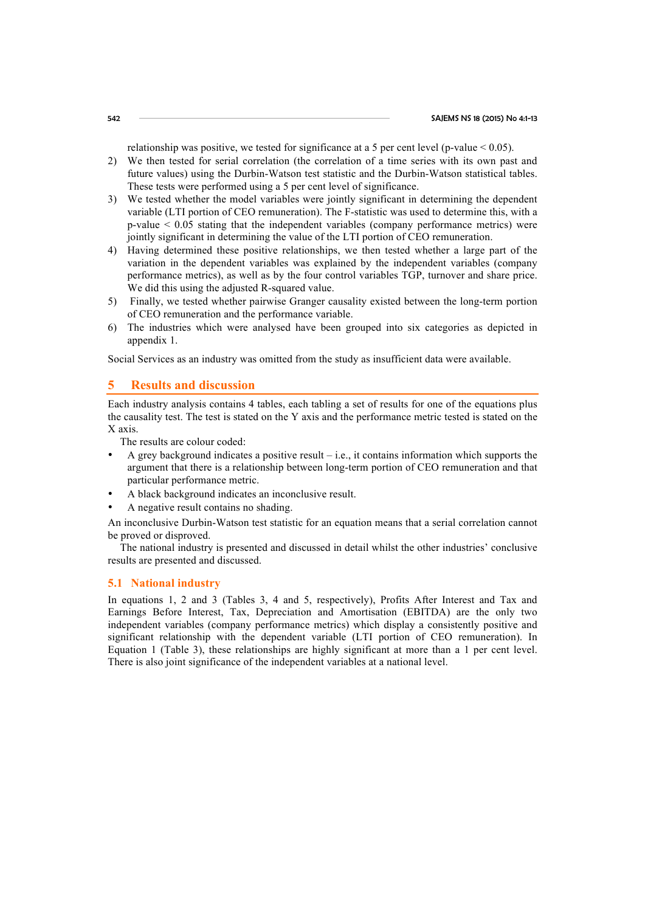relationship was positive, we tested for significance at a 5 per cent level (p-value  $< 0.05$ ).

- 2) We then tested for serial correlation (the correlation of a time series with its own past and future values) using the Durbin-Watson test statistic and the Durbin-Watson statistical tables. These tests were performed using a 5 per cent level of significance.
- 3) We tested whether the model variables were jointly significant in determining the dependent variable (LTI portion of CEO remuneration). The F-statistic was used to determine this, with a  $p$ -value  $\leq 0.05$  stating that the independent variables (company performance metrics) were jointly significant in determining the value of the LTI portion of CEO remuneration.
- 4) Having determined these positive relationships, we then tested whether a large part of the variation in the dependent variables was explained by the independent variables (company performance metrics), as well as by the four control variables TGP, turnover and share price. We did this using the adjusted R-squared value.
- 5) Finally, we tested whether pairwise Granger causality existed between the long-term portion of CEO remuneration and the performance variable.
- 6) The industries which were analysed have been grouped into six categories as depicted in appendix 1.

Social Services as an industry was omitted from the study as insufficient data were available.

# **5 Results and discussion**

Each industry analysis contains 4 tables, each tabling a set of results for one of the equations plus the causality test. The test is stated on the Y axis and the performance metric tested is stated on the X axis.

The results are colour coded:

- A grey background indicates a positive result  $-$  i.e., it contains information which supports the argument that there is a relationship between long-term portion of CEO remuneration and that particular performance metric.
- A black background indicates an inconclusive result.
- A negative result contains no shading.

An inconclusive Durbin-Watson test statistic for an equation means that a serial correlation cannot be proved or disproved.

The national industry is presented and discussed in detail whilst the other industries' conclusive results are presented and discussed.

# **5.1 National industry**

In equations 1, 2 and 3 (Tables 3, 4 and 5, respectively), Profits After Interest and Tax and Earnings Before Interest, Tax, Depreciation and Amortisation (EBITDA) are the only two independent variables (company performance metrics) which display a consistently positive and significant relationship with the dependent variable (LTI portion of CEO remuneration). In Equation 1 (Table 3), these relationships are highly significant at more than a 1 per cent level. There is also joint significance of the independent variables at a national level.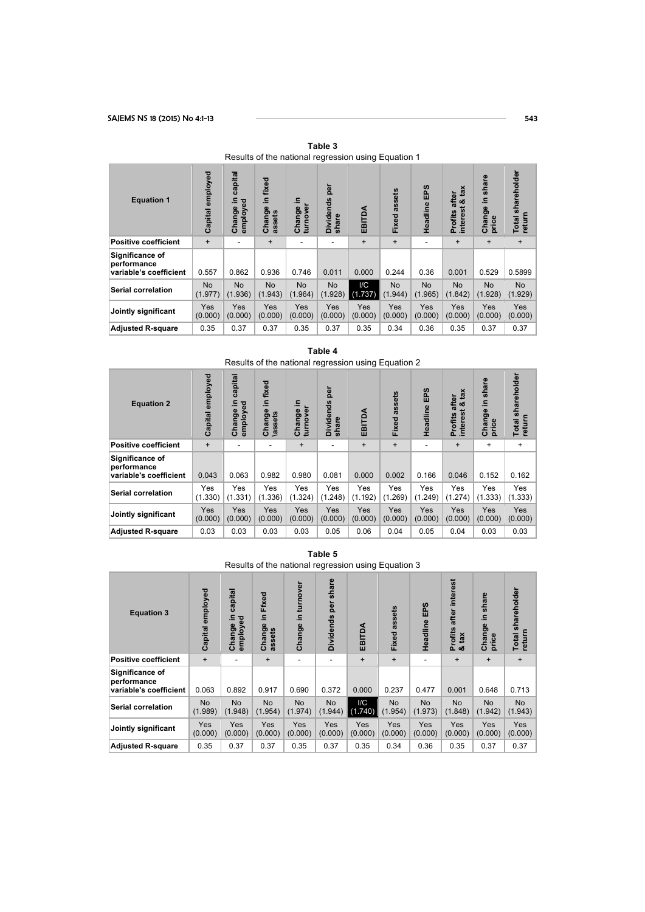| Results of the national regression using Equation 1      |                      |                               |                                          |                           |                                  |                                    |                      |                      |                                                  |                                    |                                       |
|----------------------------------------------------------|----------------------|-------------------------------|------------------------------------------|---------------------------|----------------------------------|------------------------------------|----------------------|----------------------|--------------------------------------------------|------------------------------------|---------------------------------------|
| <b>Equation 1</b>                                        | employed<br>Capital  | capital<br>employed<br>Change | in fixed<br>$\bullet$<br>Chang<br>assets | Ξ<br>Change i<br>turnover | per<br><b>Dividends</b><br>share | EBITDA                             | Fixed assets         | EPS<br>Headline      | tax<br>after<br>οŏ<br><b>interest</b><br>Profits | in share<br><b>Change</b><br>price | shareholder<br>return<br><b>Total</b> |
| <b>Positive coefficient</b>                              | $\ddot{}$            |                               | $\ddot{}$                                |                           |                                  | $\ddot{}$                          | $\ddot{}$            |                      | $\ddot{}$                                        | $+$                                | $\ddot{}$                             |
| Significance of<br>performance<br>variable's coefficient | 0.557                | 0.862                         | 0.936                                    | 0.746                     | 0.011                            | 0.000                              | 0.244                | 0.36                 | 0.001                                            | 0.529                              | 0.5899                                |
| Serial correlation                                       | <b>No</b><br>(1.977) | <b>No</b><br>(1.936)          | <b>No</b><br>(1.943)                     | <b>No</b><br>(1.964)      | <b>No</b><br>(1.928)             | $\mathsf{I}/\mathsf{C}$<br>(1.737) | <b>No</b><br>(1.944) | <b>No</b><br>(1.965) | <b>No</b><br>(1.842)                             | <b>No</b><br>(1.928)               | <b>No</b><br>(1.929)                  |
| Jointly significant                                      | Yes<br>(0.000)       | Yes<br>(0.000)                | Yes<br>(0.000)                           | Yes<br>(0.000)            | Yes<br>(0.000)                   | Yes<br>(0.000)                     | Yes<br>(0.000)       | Yes<br>(0.000)       | Yes<br>(0.000)                                   | <b>Yes</b><br>(0.000)              | <b>Yes</b><br>(0.000)                 |
| <b>Adjusted R-square</b>                                 | 0.35                 | 0.37                          | 0.37                                     | 0.35                      | 0.37                             | 0.35                               | 0.34                 | 0.36                 | 0.35                                             | 0.37                               | 0.37                                  |

**Table 3**

**Table 4** Results of the national regression using Equation 2

| <b>Equation 2</b>                                        | employed<br>Capital | capital<br>.=<br>요<br>nge<br>employ<br>효<br>$\mathbf c$ | fixed<br>Ξ<br>Change<br>lassets | 르<br>turnove<br>nge<br><b>na</b><br>$\mathbf c$ | per<br><b>Dividends</b><br>share | EBITDA         | assets<br>Fixed       | EPS<br>Headline | tax<br>after<br>οŏ<br>res<br>rofits<br>inter<br>$\sim$ | share<br>르.<br>Change<br>price | hareholder<br>$\boldsymbol{\omega}$<br>Total<br>retur |
|----------------------------------------------------------|---------------------|---------------------------------------------------------|---------------------------------|-------------------------------------------------|----------------------------------|----------------|-----------------------|-----------------|--------------------------------------------------------|--------------------------------|-------------------------------------------------------|
| <b>Positive coefficient</b>                              | $+$                 |                                                         |                                 | $+$                                             |                                  | $\ddot{}$      | $+$                   |                 | $\ddot{}$                                              | $\ddot{}$                      | $\ddot{}$                                             |
| Significance of<br>performance<br>variable's coefficient | 0.043               | 0.063                                                   | 0.982                           | 0.980                                           | 0.081                            | 0.000          | 0.002                 | 0.166           | 0.046                                                  | 0.152                          | 0.162                                                 |
| <b>Serial correlation</b>                                | Yes<br>(1.330)      | Yes<br>(1.331)                                          | Yes<br>(1.336)                  | Yes<br>(1.324)                                  | Yes<br>(1.248)                   | Yes<br>(1.192) | Yes<br>(1.269)        | Yes<br>(1.249)  | Yes<br>(1.274)                                         | Yes<br>(1.333)                 | Yes<br>(1.333)                                        |
| Jointly significant                                      | Yes<br>(0.000)      | Yes<br>(0.000)                                          | Yes<br>(0.000)                  | Yes<br>(0.000)                                  | Yes<br>(0.000)                   | Yes<br>(0.000) | <b>Yes</b><br>(0.000) | Yes<br>(0.000)  | <b>Yes</b><br>(0.000)                                  | Yes<br>(0.000)                 | Yes<br>(0.000)                                        |
| <b>Adjusted R-square</b>                                 | 0.03                | 0.03                                                    | 0.03                            | 0.03                                            | 0.05                             | 0.06           | 0.04                  | 0.05            | 0.04                                                   | 0.03                           | 0.03                                                  |

| Results of the national regression using Equation 3      |                      |                                    |                                      |                          |                                  |                          |                      |                      |                                           |                                |                                 |
|----------------------------------------------------------|----------------------|------------------------------------|--------------------------------------|--------------------------|----------------------------------|--------------------------|----------------------|----------------------|-------------------------------------------|--------------------------------|---------------------------------|
| <b>Equation 3</b>                                        | employed<br>Capital  | capital<br>르<br>employed<br>Change | Ffxed<br>르.<br>9e<br>assets<br>Chang | turnover<br>Ξ.<br>Change | share<br>per<br><b>Dividends</b> | EBITDA                   | assets<br>Fixed      | EPS<br>Headline      | after interest<br>rofits<br>Xe;<br>ة - َα | share<br>르.<br>Change<br>price | shareholder<br>return<br>Total: |
| <b>Positive coefficient</b>                              | $+$                  |                                    | $\ddot{}$                            | ٠                        |                                  | $\ddot{}$                | $\ddot{}$            | ۰                    | $\ddot{}$                                 | $\ddot{}$                      | $+$                             |
| Significance of<br>performance<br>variable's coefficient | 0.063                | 0.892                              | 0.917                                | 0.690                    | 0.372                            | 0.000                    | 0.237                | 0.477                | 0.001                                     | 0.648                          | 0.713                           |
| <b>Serial correlation</b>                                | <b>No</b><br>(1.989) | <b>No</b><br>(1.948)               | <b>No</b><br>(1.954)                 | <b>No</b><br>(1.974)     | <b>No</b><br>(1.944)             | $\mathsf{IC}$<br>(1.740) | <b>No</b><br>(1.954) | <b>No</b><br>(1.973) | <b>No</b><br>(1.848)                      | <b>No</b><br>(1.942)           | <b>No</b><br>(1.943)            |
| Jointly significant                                      | Yes<br>(0.000)       | Yes<br>(0.000)                     | Yes<br>(0.000)                       | Yes<br>(0.000)           | Yes<br>(0.000)                   | Yes<br>(0.000)           | Yes<br>(0.000)       | Yes<br>(0.000)       | Yes<br>(0.000)                            | Yes<br>(0.000)                 | <b>Yes</b><br>(0.000)           |
| <b>Adjusted R-square</b>                                 | 0.35                 | 0.37                               | 0.37                                 | 0.35                     | 0.37                             | 0.35                     | 0.34                 | 0.36                 | 0.35                                      | 0.37                           | 0.37                            |

**Table 5**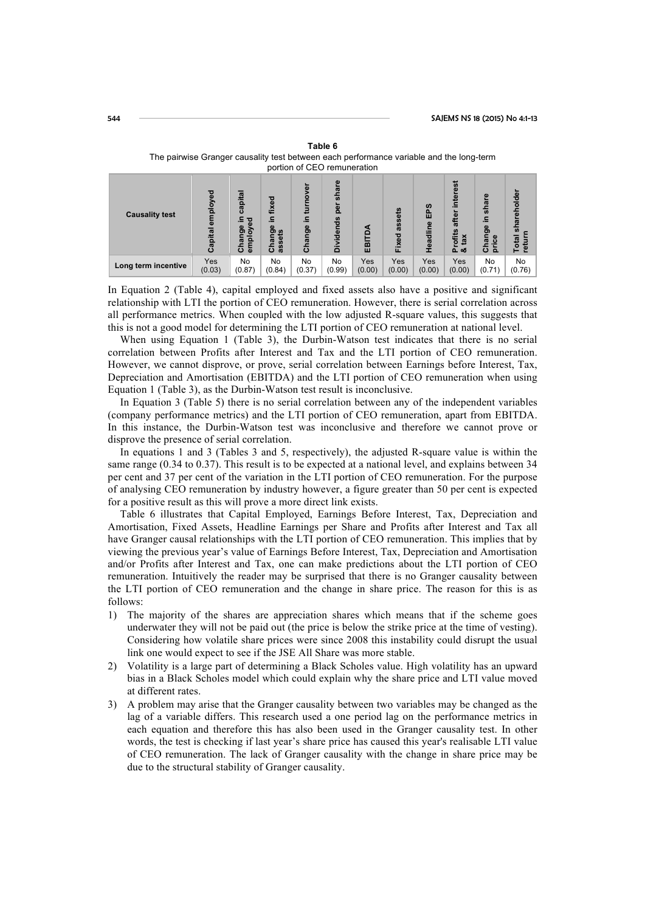|                       |                     |                                                 |                                                                |                                  | portion of CEO remuneration      |               |                 |                        |                                              |                                                         |                                      |
|-----------------------|---------------------|-------------------------------------------------|----------------------------------------------------------------|----------------------------------|----------------------------------|---------------|-----------------|------------------------|----------------------------------------------|---------------------------------------------------------|--------------------------------------|
| <b>Causality test</b> | employed<br>Capital | capital<br>ъ<br>కి<br>$\circ$<br>empi<br>α<br>ㅎ | fixed<br>르<br>မှိ မျ<br>Chan<br>$\ddot{\mathbf{c}}$<br>ø,<br>æ | 눕<br>ة<br>E<br>⋾<br>르.<br>Change | share<br>per<br><b>Dividends</b> | å<br>찂        | assets<br>Fixed | <b>EPS</b><br>Headline | rest<br>inter<br>after<br>ofits<br>tax<br>ᄘᄚ | ၜႍ<br>sha<br>크.<br>9 <sub>o</sub><br>ă<br>Chan<br>price | <u>ab</u><br>ठ<br>œ<br>Total<br>retu |
| Long term incentive   | Yes<br>(0.03)       | No<br>(0.87)                                    | No<br>(0.84)                                                   | No<br>(0.37)                     | <b>No</b><br>(0.99)              | Yes<br>(0.00) | Yes<br>(0.00)   | Yes<br>(0.00)          | Yes<br>(0.00)                                | No<br>(0.71)                                            | No<br>(0.76)                         |

**Table 6** The pairwise Granger causality test between each performance variable and the long-term

In Equation 2 (Table 4), capital employed and fixed assets also have a positive and significant relationship with LTI the portion of CEO remuneration. However, there is serial correlation across all performance metrics. When coupled with the low adjusted R-square values, this suggests that this is not a good model for determining the LTI portion of CEO remuneration at national level.

When using Equation 1 (Table 3), the Durbin-Watson test indicates that there is no serial correlation between Profits after Interest and Tax and the LTI portion of CEO remuneration. However, we cannot disprove, or prove, serial correlation between Earnings before Interest, Tax, Depreciation and Amortisation (EBITDA) and the LTI portion of CEO remuneration when using Equation 1 (Table 3), as the Durbin-Watson test result is inconclusive.

In Equation 3 (Table 5) there is no serial correlation between any of the independent variables (company performance metrics) and the LTI portion of CEO remuneration, apart from EBITDA. In this instance, the Durbin-Watson test was inconclusive and therefore we cannot prove or disprove the presence of serial correlation.

In equations 1 and 3 (Tables 3 and 5, respectively), the adjusted R-square value is within the same range (0.34 to 0.37). This result is to be expected at a national level, and explains between 34 per cent and 37 per cent of the variation in the LTI portion of CEO remuneration. For the purpose of analysing CEO remuneration by industry however, a figure greater than 50 per cent is expected for a positive result as this will prove a more direct link exists.

Table 6 illustrates that Capital Employed, Earnings Before Interest, Tax, Depreciation and Amortisation, Fixed Assets, Headline Earnings per Share and Profits after Interest and Tax all have Granger causal relationships with the LTI portion of CEO remuneration. This implies that by viewing the previous year's value of Earnings Before Interest, Tax, Depreciation and Amortisation and/or Profits after Interest and Tax, one can make predictions about the LTI portion of CEO remuneration. Intuitively the reader may be surprised that there is no Granger causality between the LTI portion of CEO remuneration and the change in share price. The reason for this is as follows:

- 1) The majority of the shares are appreciation shares which means that if the scheme goes underwater they will not be paid out (the price is below the strike price at the time of vesting). Considering how volatile share prices were since 2008 this instability could disrupt the usual link one would expect to see if the JSE All Share was more stable.
- 2) Volatility is a large part of determining a Black Scholes value. High volatility has an upward bias in a Black Scholes model which could explain why the share price and LTI value moved at different rates.
- 3) A problem may arise that the Granger causality between two variables may be changed as the lag of a variable differs. This research used a one period lag on the performance metrics in each equation and therefore this has also been used in the Granger causality test. In other words, the test is checking if last year's share price has caused this year's realisable LTI value of CEO remuneration. The lack of Granger causality with the change in share price may be due to the structural stability of Granger causality.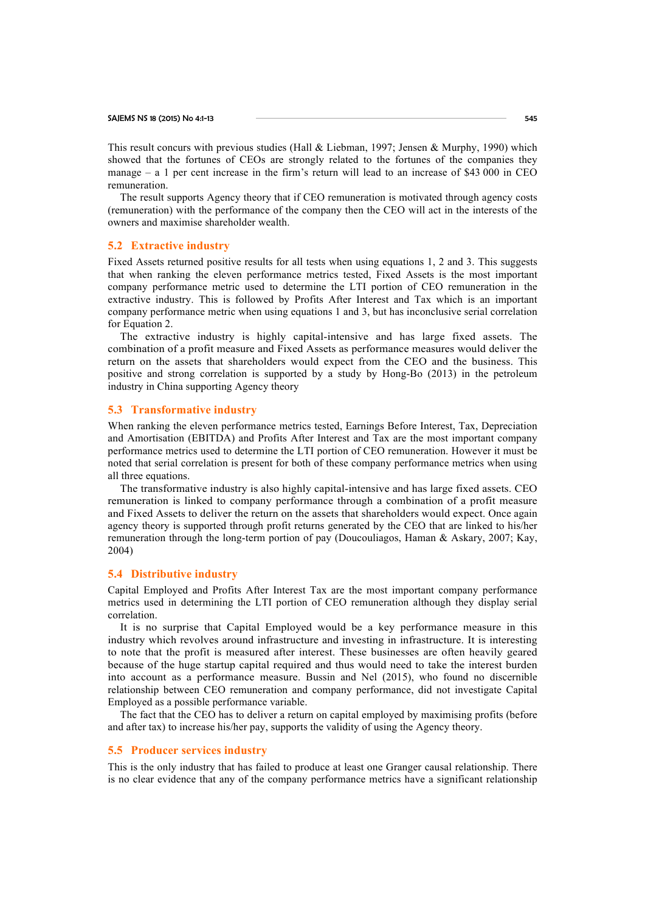This result concurs with previous studies (Hall & Liebman, 1997; Jensen & Murphy, 1990) which showed that the fortunes of CEOs are strongly related to the fortunes of the companies they manage – a 1 per cent increase in the firm's return will lead to an increase of \$43 000 in CEO remuneration.

The result supports Agency theory that if CEO remuneration is motivated through agency costs (remuneration) with the performance of the company then the CEO will act in the interests of the owners and maximise shareholder wealth.

### **5.2 Extractive industry**

Fixed Assets returned positive results for all tests when using equations 1, 2 and 3. This suggests that when ranking the eleven performance metrics tested, Fixed Assets is the most important company performance metric used to determine the LTI portion of CEO remuneration in the extractive industry. This is followed by Profits After Interest and Tax which is an important company performance metric when using equations 1 and 3, but has inconclusive serial correlation for Equation 2.

The extractive industry is highly capital-intensive and has large fixed assets. The combination of a profit measure and Fixed Assets as performance measures would deliver the return on the assets that shareholders would expect from the CEO and the business. This positive and strong correlation is supported by a study by Hong-Bo (2013) in the petroleum industry in China supporting Agency theory

# **5.3 Transformative industry**

When ranking the eleven performance metrics tested, Earnings Before Interest, Tax, Depreciation and Amortisation (EBITDA) and Profits After Interest and Tax are the most important company performance metrics used to determine the LTI portion of CEO remuneration. However it must be noted that serial correlation is present for both of these company performance metrics when using all three equations.

The transformative industry is also highly capital-intensive and has large fixed assets. CEO remuneration is linked to company performance through a combination of a profit measure and Fixed Assets to deliver the return on the assets that shareholders would expect. Once again agency theory is supported through profit returns generated by the CEO that are linked to his/her remuneration through the long-term portion of pay (Doucouliagos, Haman & Askary, 2007; Kay, 2004)

## **5.4 Distributive industry**

Capital Employed and Profits After Interest Tax are the most important company performance metrics used in determining the LTI portion of CEO remuneration although they display serial correlation.

It is no surprise that Capital Employed would be a key performance measure in this industry which revolves around infrastructure and investing in infrastructure. It is interesting to note that the profit is measured after interest. These businesses are often heavily geared because of the huge startup capital required and thus would need to take the interest burden into account as a performance measure. Bussin and Nel (2015), who found no discernible relationship between CEO remuneration and company performance, did not investigate Capital Employed as a possible performance variable.

The fact that the CEO has to deliver a return on capital employed by maximising profits (before and after tax) to increase his/her pay, supports the validity of using the Agency theory.

# **5.5 Producer services industry**

This is the only industry that has failed to produce at least one Granger causal relationship. There is no clear evidence that any of the company performance metrics have a significant relationship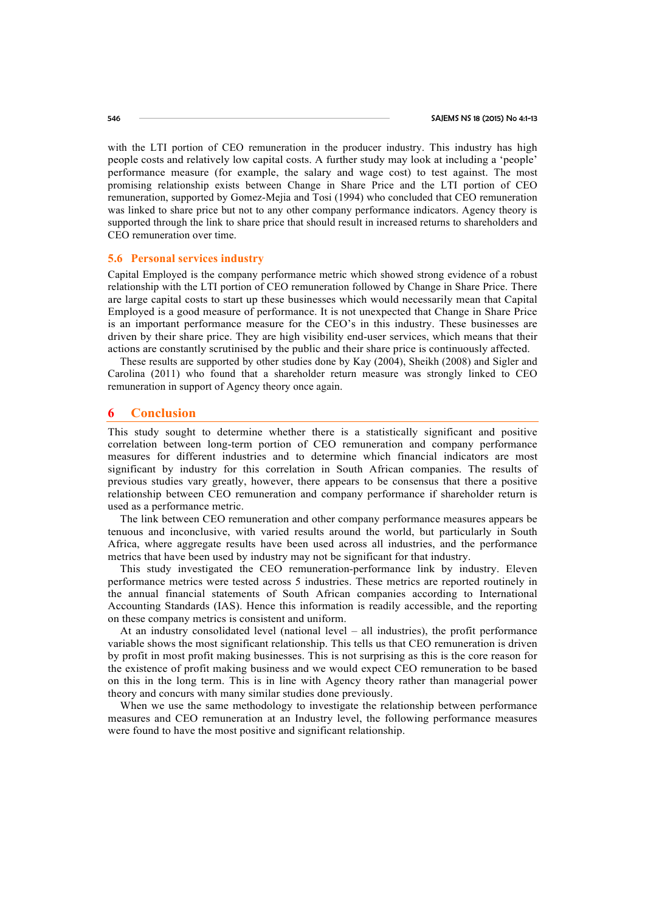with the LTI portion of CEO remuneration in the producer industry. This industry has high people costs and relatively low capital costs. A further study may look at including a 'people' performance measure (for example, the salary and wage cost) to test against. The most promising relationship exists between Change in Share Price and the LTI portion of CEO remuneration, supported by Gomez-Mejia and Tosi (1994) who concluded that CEO remuneration was linked to share price but not to any other company performance indicators. Agency theory is supported through the link to share price that should result in increased returns to shareholders and CEO remuneration over time.

### **5.6 Personal services industry**

Capital Employed is the company performance metric which showed strong evidence of a robust relationship with the LTI portion of CEO remuneration followed by Change in Share Price. There are large capital costs to start up these businesses which would necessarily mean that Capital Employed is a good measure of performance. It is not unexpected that Change in Share Price is an important performance measure for the CEO's in this industry. These businesses are driven by their share price. They are high visibility end-user services, which means that their actions are constantly scrutinised by the public and their share price is continuously affected.

These results are supported by other studies done by Kay (2004), Sheikh (2008) and Sigler and Carolina (2011) who found that a shareholder return measure was strongly linked to CEO remuneration in support of Agency theory once again.

# **6 Conclusion**

This study sought to determine whether there is a statistically significant and positive correlation between long-term portion of CEO remuneration and company performance measures for different industries and to determine which financial indicators are most significant by industry for this correlation in South African companies. The results of previous studies vary greatly, however, there appears to be consensus that there a positive relationship between CEO remuneration and company performance if shareholder return is used as a performance metric.

The link between CEO remuneration and other company performance measures appears be tenuous and inconclusive, with varied results around the world, but particularly in South Africa, where aggregate results have been used across all industries, and the performance metrics that have been used by industry may not be significant for that industry.

This study investigated the CEO remuneration-performance link by industry. Eleven performance metrics were tested across 5 industries. These metrics are reported routinely in the annual financial statements of South African companies according to International Accounting Standards (IAS). Hence this information is readily accessible, and the reporting on these company metrics is consistent and uniform.

At an industry consolidated level (national level – all industries), the profit performance variable shows the most significant relationship. This tells us that CEO remuneration is driven by profit in most profit making businesses. This is not surprising as this is the core reason for the existence of profit making business and we would expect CEO remuneration to be based on this in the long term. This is in line with Agency theory rather than managerial power theory and concurs with many similar studies done previously.

When we use the same methodology to investigate the relationship between performance measures and CEO remuneration at an Industry level, the following performance measures were found to have the most positive and significant relationship.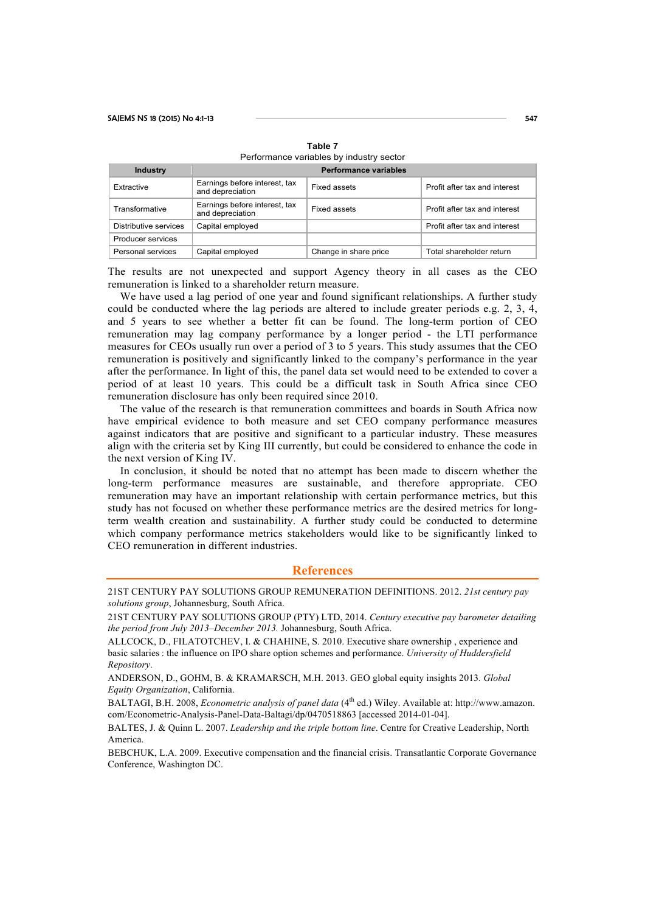| Performance variables by industry sector |                                                   |                              |                               |  |  |  |  |  |  |
|------------------------------------------|---------------------------------------------------|------------------------------|-------------------------------|--|--|--|--|--|--|
| <b>Industry</b>                          |                                                   | <b>Performance variables</b> |                               |  |  |  |  |  |  |
| Extractive                               | Earnings before interest, tax<br>and depreciation | Fixed assets                 | Profit after tax and interest |  |  |  |  |  |  |
| Transformative                           | Earnings before interest, tax<br>and depreciation | Fixed assets                 | Profit after tax and interest |  |  |  |  |  |  |
| Distributive services                    | Capital employed                                  |                              | Profit after tax and interest |  |  |  |  |  |  |
| Producer services                        |                                                   |                              |                               |  |  |  |  |  |  |
| Personal services                        | Capital employed                                  | Change in share price        | Total shareholder return      |  |  |  |  |  |  |

| Table 7                                  |  |
|------------------------------------------|--|
| Performance variables by industry sector |  |

The results are not unexpected and support Agency theory in all cases as the CEO remuneration is linked to a shareholder return measure.

We have used a lag period of one year and found significant relationships. A further study could be conducted where the lag periods are altered to include greater periods e.g. 2, 3, 4, and 5 years to see whether a better fit can be found. The long-term portion of CEO remuneration may lag company performance by a longer period - the LTI performance measures for CEOs usually run over a period of 3 to 5 years. This study assumes that the CEO remuneration is positively and significantly linked to the company's performance in the year after the performance. In light of this, the panel data set would need to be extended to cover a period of at least 10 years. This could be a difficult task in South Africa since CEO remuneration disclosure has only been required since 2010.

The value of the research is that remuneration committees and boards in South Africa now have empirical evidence to both measure and set CEO company performance measures against indicators that are positive and significant to a particular industry. These measures align with the criteria set by King III currently, but could be considered to enhance the code in the next version of King IV.

In conclusion, it should be noted that no attempt has been made to discern whether the long-term performance measures are sustainable, and therefore appropriate. CEO remuneration may have an important relationship with certain performance metrics, but this study has not focused on whether these performance metrics are the desired metrics for longterm wealth creation and sustainability. A further study could be conducted to determine which company performance metrics stakeholders would like to be significantly linked to CEO remuneration in different industries.

### **References**

<sup>21</sup>ST CENTURY PAY SOLUTIONS GROUP REMUNERATION DEFINITIONS. 2012. *21st century pay solutions group*, Johannesburg, South Africa.

<sup>21</sup>ST CENTURY PAY SOLUTIONS GROUP (PTY) LTD, 2014. *Century executive pay barometer detailing the period from July 2013–December 2013.* Johannesburg, South Africa.

ALLCOCK, D., FILATOTCHEV, I. & CHAHINE, S. 2010. Executive share ownership , experience and basic salaries : the influence on IPO share option schemes and performance. *University of Huddersfield Repository*.

ANDERSON, D., GOHM, B. & KRAMARSCH, M.H. 2013. GEO global equity insights 2013*. Global Equity Organization*, California.

BALTAGI, B.H. 2008, *Econometric analysis of panel data* (4<sup>th</sup> ed.) Wiley. Available at: http://www.amazon. com/Econometric-Analysis-Panel-Data-Baltagi/dp/0470518863 [accessed 2014-01-04].

BALTES, J. & Quinn L. 2007. *Leadership and the triple bottom line*. Centre for Creative Leadership, North America.

BEBCHUK, L.A. 2009. Executive compensation and the financial crisis. Transatlantic Corporate Governance Conference, Washington DC.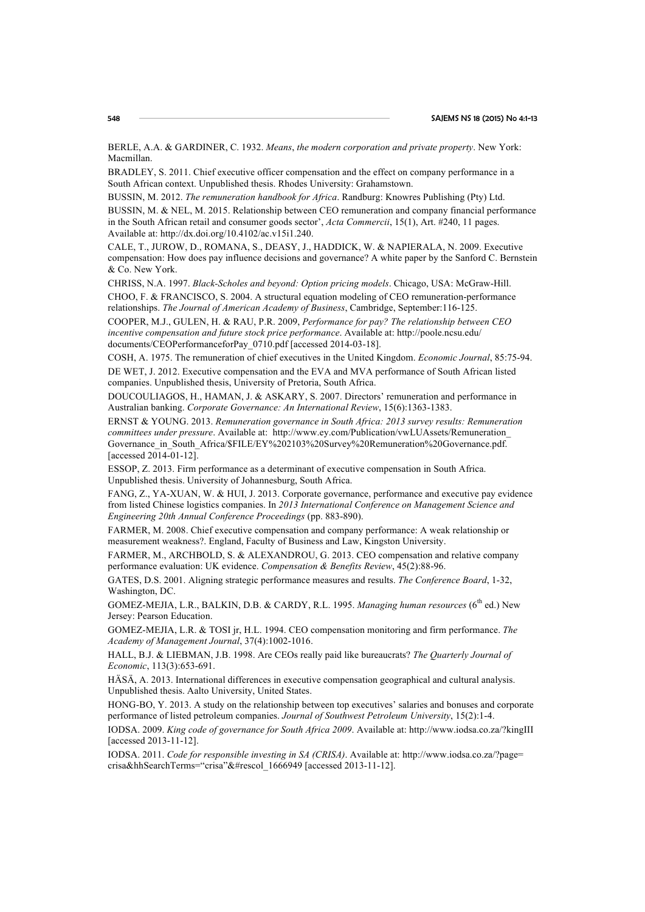BERLE, A.A. & GARDINER, C. 1932. *Means*, *the modern corporation and private property*. New York: Macmillan.

BRADLEY, S. 2011. Chief executive officer compensation and the effect on company performance in a South African context. Unpublished thesis. Rhodes University: Grahamstown.

BUSSIN, M. 2012. *The remuneration handbook for Africa*. Randburg: Knowres Publishing (Pty) Ltd. BUSSIN, M. & NEL, M. 2015. Relationship between CEO remuneration and company financial performance in the South African retail and consumer goods sector', *Acta Commercii*, 15(1), Art. #240, 11 pages. Available at: http://dx.doi.org/10.4102/ac.v15i1.240.

CALE, T., JUROW, D., ROMANA, S., DEASY, J., HADDICK, W. & NAPIERALA, N. 2009. Executive compensation: How does pay influence decisions and governance? A white paper by the Sanford C. Bernstein & Co. New York.

CHRISS, N.A. 1997. *Black-Scholes and beyond: Option pricing models*. Chicago, USA: McGraw-Hill. CHOO, F. & FRANCISCO, S. 2004. A structural equation modeling of CEO remuneration-performance relationships. *The Journal of American Academy of Business*, Cambridge, September:116-125.

COOPER, M.J., GULEN, H. & RAU, P.R. 2009, *Performance for pay? The relationship between CEO incentive compensation and future stock price performance*. Available at: http://poole.ncsu.edu/ documents/CEOPerformanceforPay\_0710.pdf [accessed 2014-03-18].

COSH, A. 1975. The remuneration of chief executives in the United Kingdom. *Economic Journal*, 85:75-94. DE WET, J. 2012. Executive compensation and the EVA and MVA performance of South African listed companies. Unpublished thesis, University of Pretoria, South Africa.

DOUCOULIAGOS, H., HAMAN, J. & ASKARY, S. 2007. Directors' remuneration and performance in Australian banking. *Corporate Governance: An International Review*, 15(6):1363-1383.

ERNST & YOUNG. 2013. *Remuneration governance in South Africa: 2013 survey results: Remuneration committees under pressure*. Available at: http://www.ey.com/Publication/vwLUAssets/Remuneration\_ Governance\_in\_South\_Africa/\$FILE/EY%202103%20Survey%20Remuneration%20Governance.pdf. [accessed 2014-01-12].

ESSOP, Z. 2013. Firm performance as a determinant of executive compensation in South Africa. Unpublished thesis. University of Johannesburg, South Africa.

FANG, Z., YA-XUAN, W. & HUI, J. 2013. Corporate governance, performance and executive pay evidence from listed Chinese logistics companies. In *2013 International Conference on Management Science and Engineering 20th Annual Conference Proceedings* (pp. 883-890).

FARMER, M. 2008. Chief executive compensation and company performance: A weak relationship or measurement weakness?. England, Faculty of Business and Law, Kingston University.

FARMER, M., ARCHBOLD, S. & ALEXANDROU, G. 2013. CEO compensation and relative company performance evaluation: UK evidence. *Compensation & Benefits Review*, 45(2):88-96.

GATES, D.S. 2001. Aligning strategic performance measures and results. *The Conference Board*, 1-32, Washington, DC.

GOMEZ-MEJIA, L.R., BALKIN, D.B. & CARDY, R.L. 1995. Managing human resources (6<sup>th</sup> ed.) New Jersey: Pearson Education.

GOMEZ-MEJIA, L.R. & TOSI jr, H.L. 1994. CEO compensation monitoring and firm performance. *The Academy of Management Journal*, 37(4):1002-1016.

HALL, B.J. & LIEBMAN, J.B. 1998. Are CEOs really paid like bureaucrats? *The Quarterly Journal of Economic*, 113(3):653-691.

HÄSÄ, A. 2013. International differences in executive compensation geographical and cultural analysis. Unpublished thesis. Aalto University, United States.

HONG-BO, Y. 2013. A study on the relationship between top executives' salaries and bonuses and corporate performance of listed petroleum companies. *Journal of Southwest Petroleum University*, 15(2):1-4.

IODSA. 2009. *King code of governance for South Africa 2009*. Available at: http://www.iodsa.co.za/?kingIII [accessed 2013-11-12].

IODSA. 2011. *Code for responsible investing in SA (CRISA)*. Available at: http://www.iodsa.co.za/?page= crisa&hhSearchTerms="crisa"&#rescol\_1666949 [accessed 2013-11-12].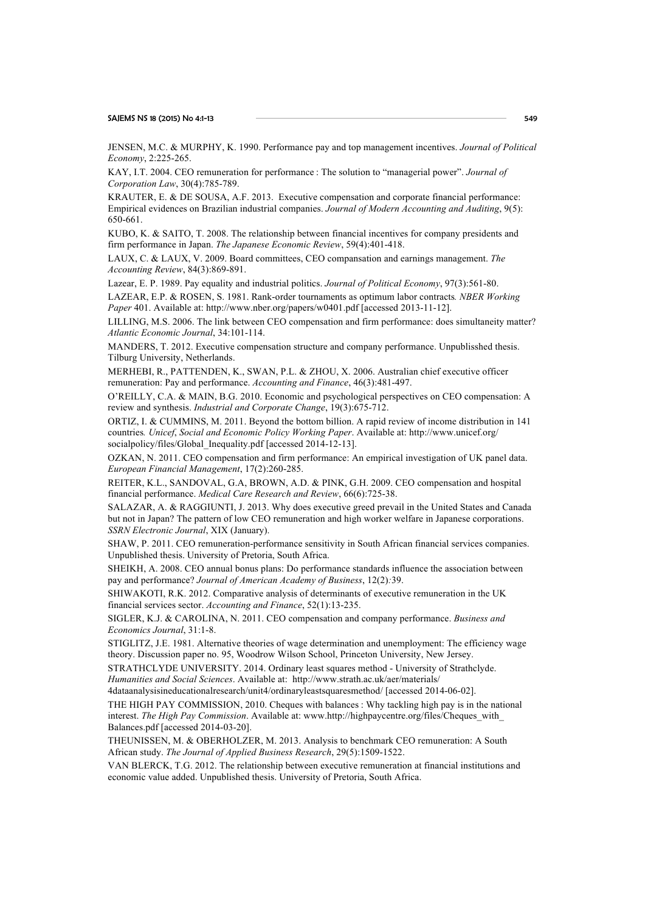#### SAJEMS NS 18 (2015) No 4:1-13 **549 SAJEMS** NS 18 (2015) No 4:1-13

JENSEN, M.C. & MURPHY, K. 1990. Performance pay and top management incentives. *Journal of Political Economy*, 2:225-265.

KAY, I.T. 2004. CEO remuneration for performance : The solution to "managerial power". *Journal of Corporation Law*, 30(4):785-789.

KRAUTER, E. & DE SOUSA, A.F. 2013. Executive compensation and corporate financial performance: Empirical evidences on Brazilian industrial companies. *Journal of Modern Accounting and Auditing*, 9(5): 650-661.

KUBO, K. & SAITO, T. 2008. The relationship between financial incentives for company presidents and firm performance in Japan. *The Japanese Economic Review*, 59(4):401-418.

LAUX, C. & LAUX, V. 2009. Board committees, CEO compansation and earnings management. *The Accounting Review*, 84(3):869-891.

Lazear, E. P. 1989. Pay equality and industrial politics. *Journal of Political Economy*, 97(3):561-80. LAZEAR, E.P. & ROSEN, S. 1981. Rank-order tournaments as optimum labor contracts*. NBER Working* 

*Paper* 401. Available at: http://www.nber.org/papers/w0401.pdf [accessed 2013-11-12].

LILLING, M.S. 2006. The link between CEO compensation and firm performance: does simultaneity matter? *Atlantic Economic Journal*, 34:101-114.

MANDERS, T. 2012. Executive compensation structure and company performance. Unpublisshed thesis. Tilburg University, Netherlands.

MERHEBI, R., PATTENDEN, K., SWAN, P.L. & ZHOU, X. 2006. Australian chief executive officer remuneration: Pay and performance. *Accounting and Finance*, 46(3):481-497.

O'REILLY, C.A. & MAIN, B.G. 2010. Economic and psychological perspectives on CEO compensation: A review and synthesis. *Industrial and Corporate Change*, 19(3):675-712.

ORTIZ, I. & CUMMINS, M. 2011. Beyond the bottom billion. A rapid review of income distribution in 141 countries*. Unicef*, *Social and Economic Policy Working Paper*. Available at: http://www.unicef.org/ socialpolicy/files/Global\_Inequality.pdf [accessed 2014-12-13].

OZKAN, N. 2011. CEO compensation and firm performance: An empirical investigation of UK panel data. *European Financial Management*, 17(2):260-285.

REITER, K.L., SANDOVAL, G.A, BROWN, A.D. & PINK, G.H. 2009. CEO compensation and hospital financial performance. *Medical Care Research and Review*, 66(6):725-38.

SALAZAR, A. & RAGGIUNTI, J. 2013. Why does executive greed prevail in the United States and Canada but not in Japan? The pattern of low CEO remuneration and high worker welfare in Japanese corporations. *SSRN Electronic Journal*, XIX (January).

SHAW, P. 2011. CEO remuneration-performance sensitivity in South African financial services companies. Unpublished thesis. University of Pretoria, South Africa.

SHEIKH, A. 2008. CEO annual bonus plans: Do performance standards influence the association between pay and performance? *Journal of American Academy of Business*, 12(2)*:*39.

SHIWAKOTI, R.K. 2012. Comparative analysis of determinants of executive remuneration in the UK financial services sector. *Accounting and Finance*, 52(1):13-235.

SIGLER, K.J. & CAROLINA, N. 2011. CEO compensation and company performance. *Business and Economics Journal*, 31:1-8.

STIGLITZ, J.E. 1981. Alternative theories of wage determination and unemployment: The efficiency wage theory. Discussion paper no. 95, Woodrow Wilson School, Princeton University, New Jersey.

STRATHCLYDE UNIVERSITY. 2014. Ordinary least squares method - University of Strathclyde. *Humanities and Social Sciences*. Available at: http://www.strath.ac.uk/aer/materials/

4dataanalysisineducationalresearch/unit4/ordinaryleastsquaresmethod/ [accessed 2014-06-02].

THE HIGH PAY COMMISSION, 2010. Cheques with balances : Why tackling high pay is in the national interest. *The High Pay Commission*. Available at: www.http://highpaycentre.org/files/Cheques\_with\_ Balances.pdf [accessed 2014-03-20].

THEUNISSEN, M. & OBERHOLZER, M. 2013. Analysis to benchmark CEO remuneration: A South African study. *The Journal of Applied Business Research*, 29(5):1509-1522.

VAN BLERCK, T.G. 2012. The relationship between executive remuneration at financial institutions and economic value added. Unpublished thesis. University of Pretoria, South Africa.